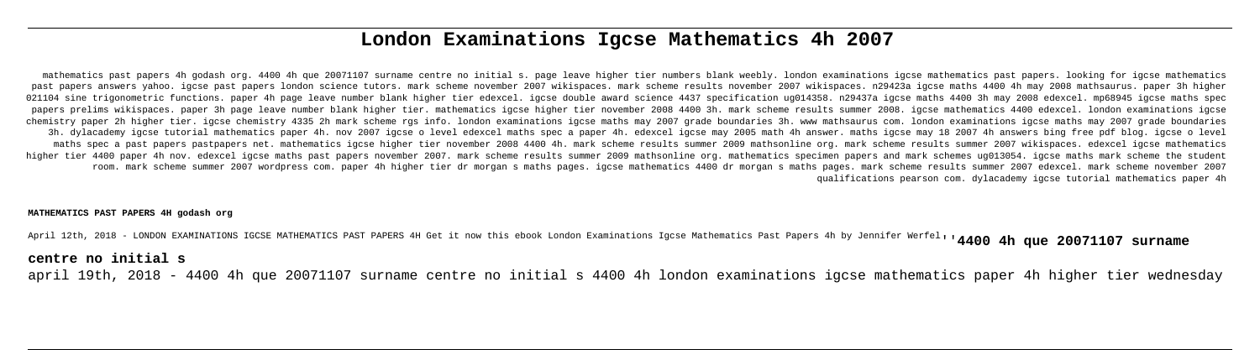# **London Examinations Igcse Mathematics 4h 2007**

mathematics past papers 4h godash org. 4400 4h que 20071107 surname centre no initial s. page leave higher tier numbers blank weebly. london examinations igcse mathematics past papers. looking for igcse mathematics past papers answers yahoo. igcse past papers london science tutors. mark scheme november 2007 wikispaces. mark scheme results november 2007 wikispaces. n29423a igcse maths 4400 4h may 2008 mathsaurus. paper 3h higher 021104 sine trigonometric functions. paper 4h page leave number blank higher tier edexcel. igcse double award science 4437 specification ug014358. n29437a igcse maths 4400 3h may 2008 edexcel. mp68945 igcse maths spec papers prelims wikispaces. paper 3h page leave number blank higher tier. mathematics igcse higher tier november 2008 4400 3h. mark scheme results summer 2008. igcse mathematics 4400 edexcel. london examinations igcse chemistry paper 2h higher tier. igcse chemistry 4335 2h mark scheme rgs info. london examinations igcse maths may 2007 grade boundaries 3h. www mathsaurus com. london examinations igcse maths may 2007 grade boundaries 3h. dylacademy igcse tutorial mathematics paper 4h. nov 2007 igcse o level edexcel maths spec a paper 4h. edexcel igcse may 2005 math 4h answer. maths igcse may 18 2007 4h answers bing free pdf blog. igcse o level maths spec a past papers pastpapers net. mathematics igcse higher tier november 2008 4400 4h. mark scheme results summer 2009 mathsonline org. mark scheme results summer 2007 wikispaces. edexcel igcse mathematics higher tier 4400 paper 4h nov. edexcel igcse maths past papers november 2007. mark scheme results summer 2009 mathsonline org. mathematics specimen papers and mark schemes ug013054. igcse maths mark scheme the student room. mark scheme summer 2007 wordpress com. paper 4h higher tier dr morgan s maths pages. igcse mathematics 4400 dr morgan s maths pages. mark scheme results summer 2007 edexcel. mark scheme november 2007 qualifications pearson com. dylacademy igcse tutorial mathematics paper 4h

### **MATHEMATICS PAST PAPERS 4H godash org**

April 12th, 2018 - LONDON EXAMINATIONS IGCSE MATHEMATICS PAST PAPERS 4H Get it now this ebook London Examinations Igcse Mathematics Past Papers 4h by Jennifer Werfel''**4400 4h que 20071107 surname**

# **centre no initial s**

april 19th, 2018 - 4400 4h que 20071107 surname centre no initial s 4400 4h london examinations igcse mathematics paper 4h higher tier wednesday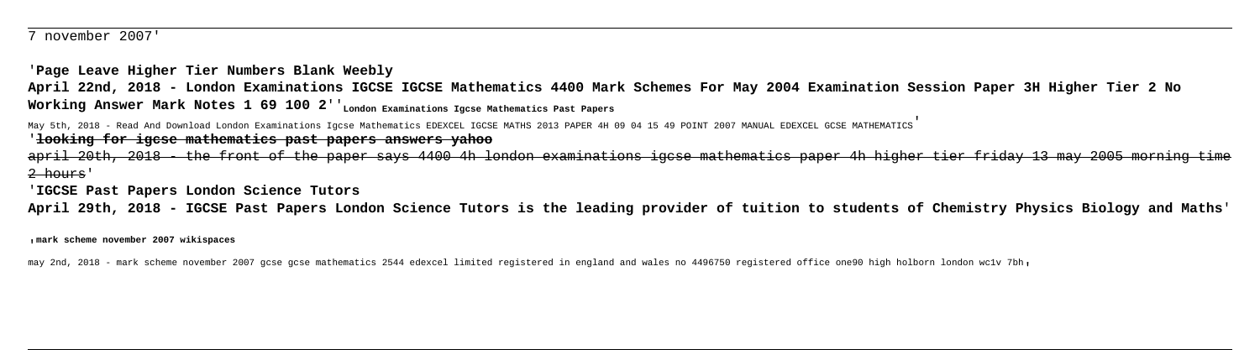7 november 2007'

'**Page Leave Higher Tier Numbers Blank Weebly April 22nd, 2018 - London Examinations IGCSE IGCSE Mathematics 4400 Mark Schemes For May 2004 Examination Session Paper 3H Higher Tier 2 No** Working Answer Mark Notes 1 69 100 2<sup>'</sup>'London Examinations Igcse Mathematics Past Papers

May 5th, 2018 - Read And Download London Examinations Igcse Mathematics EDEXCEL IGCSE MATHS 2013 PAPER 4H 09 04 15 49 POINT 2007 MANUAL EDEXCEL GCSE MATHEMATICS' '**looking for igcse mathematics past papers answers yahoo**

april 20th, 2018 - the front of the paper says 4400 4h london examinations igcse mathematics paper 4h higher tier friday 13 may 2005 morning time 2 hours'

'**IGCSE Past Papers London Science Tutors**

**April 29th, 2018 - IGCSE Past Papers London Science Tutors is the leading provider of tuition to students of Chemistry Physics Biology and Maths**'

'**mark scheme november 2007 wikispaces**

may 2nd, 2018 - mark scheme november 2007 gcse gcse mathematics 2544 edexcel limited registered in england and wales no 4496750 registered office one90 high holborn london wc1v 7bh'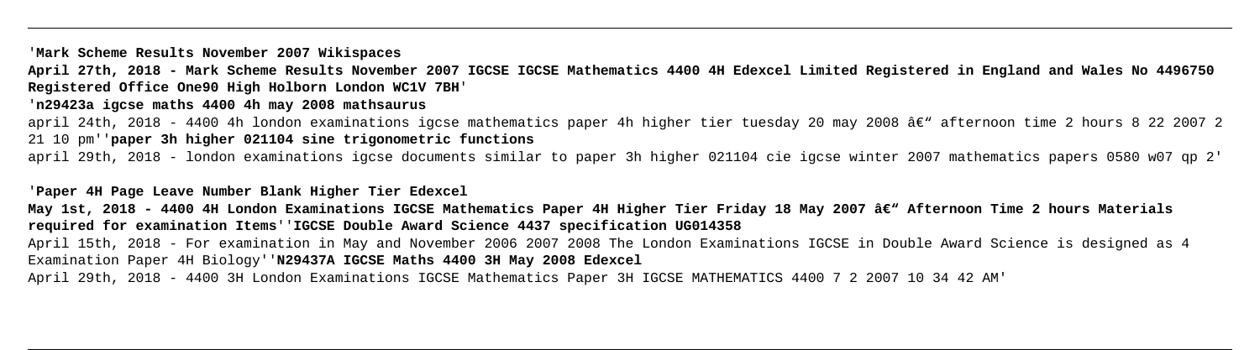# '**Mark Scheme Results November 2007 Wikispaces**

**April 27th, 2018 - Mark Scheme Results November 2007 IGCSE IGCSE Mathematics 4400 4H Edexcel Limited Registered in England and Wales No 4496750 Registered Office One90 High Holborn London WC1V 7BH**' '**n29423a igcse maths 4400 4h may 2008 mathsaurus** april 24th, 2018 - 4400 4h london examinations igcse mathematics paper 4h higher tier tuesday 20 may 2008 â€" afternoon time 2 hours 8 22 2007 2 21 10 pm''**paper 3h higher 021104 sine trigonometric functions** april 29th, 2018 - london examinations igcse documents similar to paper 3h higher 021104 cie igcse winter 2007 mathematics papers 0580 w07 qp 2'

'**Paper 4H Page Leave Number Blank Higher Tier Edexcel** May 1st, 2018 - 4400 4H London Examinations IGCSE Mathematics Paper 4H Higher Tier Friday 18 May 2007 â€<sup>w</sup> Afternoon Time 2 hours Materials **required for examination Items**''**IGCSE Double Award Science 4437 specification UG014358** April 15th, 2018 - For examination in May and November 2006 2007 2008 The London Examinations IGCSE in Double Award Science is designed as 4 Examination Paper 4H Biology''**N29437A IGCSE Maths 4400 3H May 2008 Edexcel** April 29th, 2018 - 4400 3H London Examinations IGCSE Mathematics Paper 3H IGCSE MATHEMATICS 4400 7 2 2007 10 34 42 AM'

- 
- 

- 
-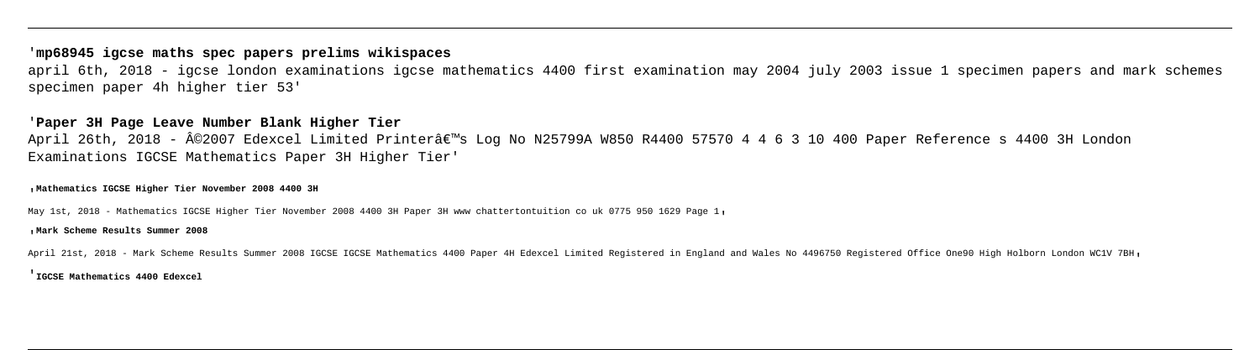# '**mp68945 igcse maths spec papers prelims wikispaces**

april 6th, 2018 - igcse london examinations igcse mathematics 4400 first examination may 2004 july 2003 issue 1 specimen papers and mark schemes specimen paper 4h higher tier 53'

April 26th, 2018 - ©2007 Edexcel Limited Printer's Log No N25799A W850 R4400 57570 4 4 6 3 10 400 Paper Reference s 4400 3H London Examinations IGCSE Mathematics Paper 3H Higher Tier'

# '**Paper 3H Page Leave Number Blank Higher Tier**

'**Mathematics IGCSE Higher Tier November 2008 4400 3H**

May 1st, 2018 - Mathematics IGCSE Higher Tier November 2008 4400 3H Paper 3H www chattertontuition co uk 0775 950 1629 Page 1'

### '**Mark Scheme Results Summer 2008**

April 21st, 2018 - Mark Scheme Results Summer 2008 IGCSE IGCSE Mathematics 4400 Paper 4H Edexcel Limited Registered in England and Wales No 4496750 Registered Office One90 High Holborn London WClV 7BH,

'**IGCSE Mathematics 4400 Edexcel**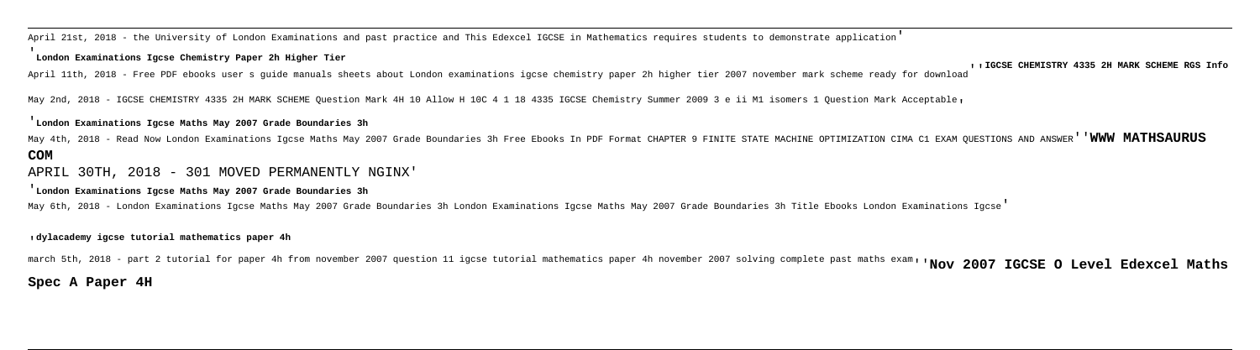April 21st, 2018 - the University of London Examinations and past practice and This Edexcel IGCSE in Mathematics requires students to demonstrate application' '**London Examinations Igcse Chemistry Paper 2h Higher Tier**

April 11th, 2018 - Free PDF ebooks user s quide manuals sheets about London examinations igcse chemistry paper 2h higher tier 2007 november mark scheme ready for download<sup>'</sup>''' IGCSE CHEMISTRY 4335 2H MARK SCHEME RGS Info

May 2nd, 2018 - IGCSE CHEMISTRY 4335 2H MARK SCHEME Ouestion Mark 4H 10 Allow H 10C 4 1 18 4335 IGCSE Chemistry Summer 2009 3 e ii M1 isomers 1 Ouestion Mark Acceptable,

#### '**London Examinations Igcse Maths May 2007 Grade Boundaries 3h**

May 4th, 2018 - Read Now London Examinations Igcse Maths May 2007 Grade Boundaries 3h Free Ebooks In PDF Format CHAPTER 9 FINITE STATE MACHINE OPTIMIZATION CIMA C1 EXAM QUESTIONS AND ANSWER''**WWW MATHSAURUS COM**

# APRIL 30TH, 2018 - 301 MOVED PERMANENTLY NGINX'

#### '**London Examinations Igcse Maths May 2007 Grade Boundaries 3h**

May 6th, 2018 - London Examinations Igcse Maths May 2007 Grade Boundaries 3h London Examinations Igcse Maths May 2007 Grade Boundaries 3h Title Ebooks London Examinations Igcse'

### '**dylacademy igcse tutorial mathematics paper 4h**

march 5th, 2018 - part 2 tutorial for paper 4h from november 2007 question 11 igcse tutorial mathematics paper 4h november 2007 solving complete past maths exam''**Nov 2007 IGCSE O Level Edexcel Maths**

## **Spec A Paper 4H**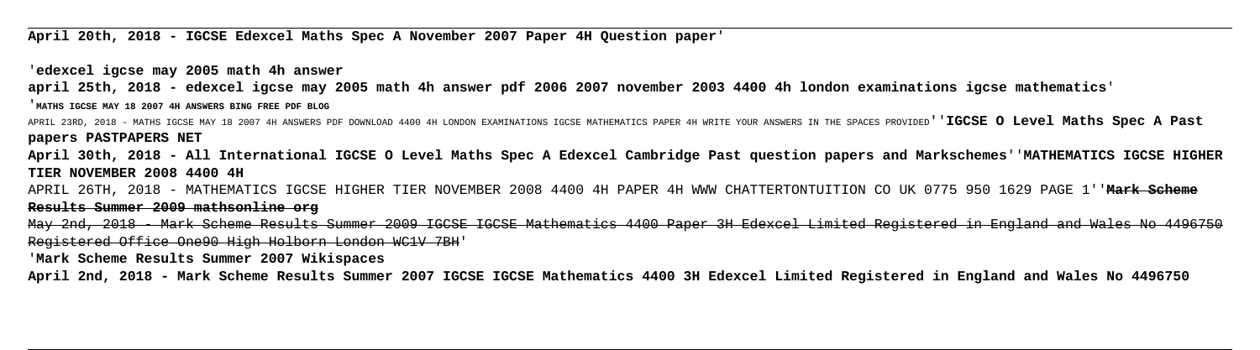**April 20th, 2018 - IGCSE Edexcel Maths Spec A November 2007 Paper 4H Question paper**'

'**edexcel igcse may 2005 math 4h answer april 25th, 2018 - edexcel igcse may 2005 math 4h answer pdf 2006 2007 november 2003 4400 4h london examinations igcse mathematics**' '**MATHS IGCSE MAY 18 2007 4H ANSWERS BING FREE PDF BLOG** APRIL 23RD, 2018 - MATHS IGCSE MAY 18 2007 4H ANSWERS PDF DOWNLOAD 4400 4H LONDON EXAMINATIONS IGCSE MATHEMATICS PAPER 4H WRITE YOUR ANSWERS IN THE SPACES PROVIDED''**IGCSE O Level Maths Spec A Past papers PASTPAPERS NET April 30th, 2018 - All International IGCSE O Level Maths Spec A Edexcel Cambridge Past question papers and Markschemes**''**MATHEMATICS IGCSE HIGHER TIER NOVEMBER 2008 4400 4H** APRIL 26TH, 2018 - MATHEMATICS IGCSE HIGHER TIER NOVEMBER 2008 4400 4H PAPER 4H WWW CHATTERTONTUITION CO UK 0775 950 1629 PAGE 1''**Mark Scheme Results Summer 2009 mathsonline org** May 2nd, 2018 - Mark Scheme Results Summer 2009 IGCSE IGCSE Mathematics 4400 Paper 3H Edexcel Limited Registered in England and Wales No 4496750 Registered Office One90 High Holborn London WC1V 7BH' '**Mark Scheme Results Summer 2007 Wikispaces**

**April 2nd, 2018 - Mark Scheme Results Summer 2007 IGCSE IGCSE Mathematics 4400 3H Edexcel Limited Registered in England and Wales No 4496750**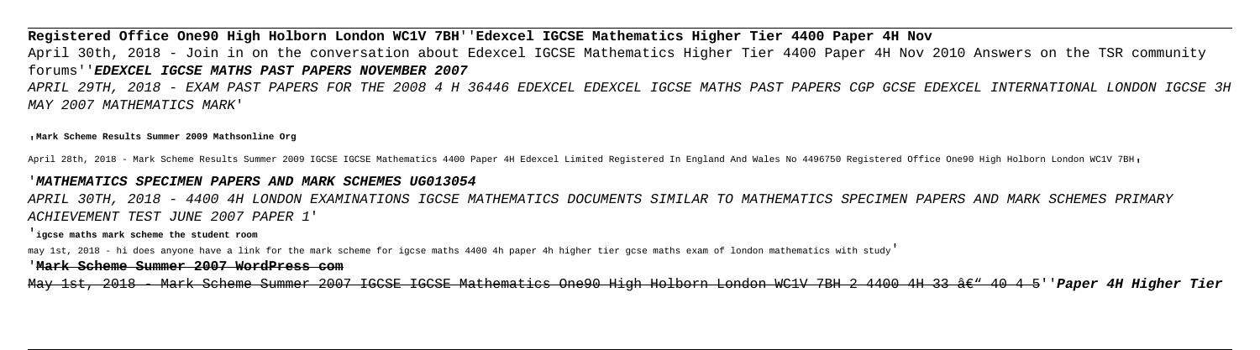**Registered Office One90 High Holborn London WC1V 7BH**''**Edexcel IGCSE Mathematics Higher Tier 4400 Paper 4H Nov** April 30th, 2018 - Join in on the conversation about Edexcel IGCSE Mathematics Higher Tier 4400 Paper 4H Nov 2010 Answers on the TSR community forums''**EDEXCEL IGCSE MATHS PAST PAPERS NOVEMBER 2007**

APRIL 29TH, 2018 - EXAM PAST PAPERS FOR THE 2008 4 H 36446 EDEXCEL EDEXCEL IGCSE MATHS PAST PAPERS CGP GCSE EDEXCEL INTERNATIONAL LONDON IGCSE 3H MAY 2007 MATHEMATICS MARK'

'**Mark Scheme Results Summer 2009 Mathsonline Org**

April 28th, 2018 - Mark Scheme Results Summer 2009 IGCSE IGCSE Mathematics 4400 Paper 4H Edexcel Limited Registered In England And Wales No 4496750 Registered Office One90 High Holborn London WClV 7BH.

### '**MATHEMATICS SPECIMEN PAPERS AND MARK SCHEMES UG013054**

APRIL 30TH, 2018 - 4400 4H LONDON EXAMINATIONS IGCSE MATHEMATICS DOCUMENTS SIMILAR TO MATHEMATICS SPECIMEN PAPERS AND MARK SCHEMES PRIMARY ACHIEVEMENT TEST JUNE 2007 PAPER 1'

### '**igcse maths mark scheme the student room**

may 1st, 2018 - hi does anyone have a link for the mark scheme for igcse maths 4400 4h paper 4h higher tier gcse maths exam of london mathematics with study'

### '**Mark Scheme Summer 2007 WordPress com**

May 1st, 2018 - Mark Scheme Summer 2007 IGCSE IGCSE Mathematics One90 High Holborn London WC1V 7BH 2 4400 4H 33 â $\epsilon$ " 40 4 5''Paper 4H Higher Tier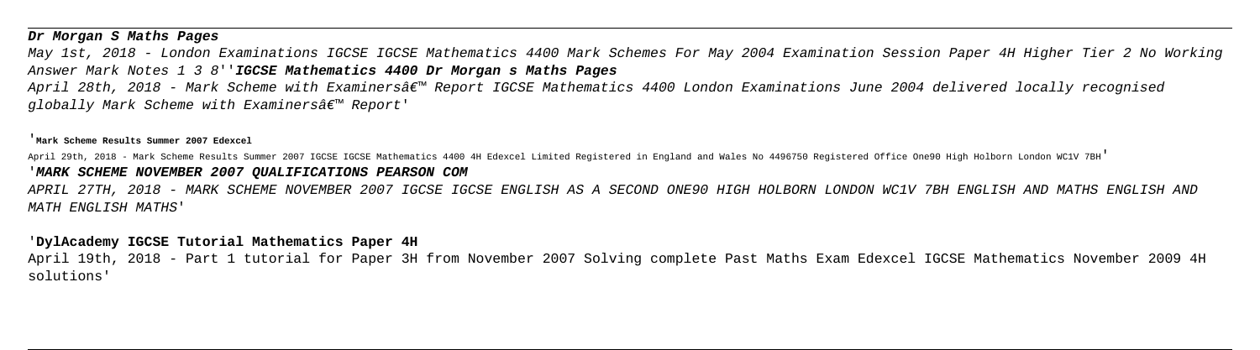# **Dr Morgan S Maths Pages**

May 1st, 2018 - London Examinations IGCSE IGCSE Mathematics 4400 Mark Schemes For May 2004 Examination Session Paper 4H Higher Tier 2 No Working Answer Mark Notes 1 3 8''**IGCSE Mathematics 4400 Dr Morgan s Maths Pages**

April 28th, 2018 - Mark Scheme with Examiners' Report IGCSE Mathematics 4400 London Examinations June 2004 delivered locally recognised globally Mark Scheme with Examiners' Report'

### '**Mark Scheme Results Summer 2007 Edexcel**

April 29th, 2018 - Mark Scheme Results Summer 2007 IGCSE IGCSE Mathematics 4400 4H Edexcel Limited Registered in England and Wales No 4496750 Registered Office One90 High Holborn London WC1V 7BH' '**MARK SCHEME NOVEMBER 2007 QUALIFICATIONS PEARSON COM**

APRIL 27TH, 2018 - MARK SCHEME NOVEMBER 2007 IGCSE IGCSE ENGLISH AS A SECOND ONE90 HIGH HOLBORN LONDON WC1V 7BH ENGLISH AND MATHS ENGLISH AND MATH ENGLISH MATHS'

# '**DylAcademy IGCSE Tutorial Mathematics Paper 4H**

April 19th, 2018 - Part 1 tutorial for Paper 3H from November 2007 Solving complete Past Maths Exam Edexcel IGCSE Mathematics November 2009 4H solutions'